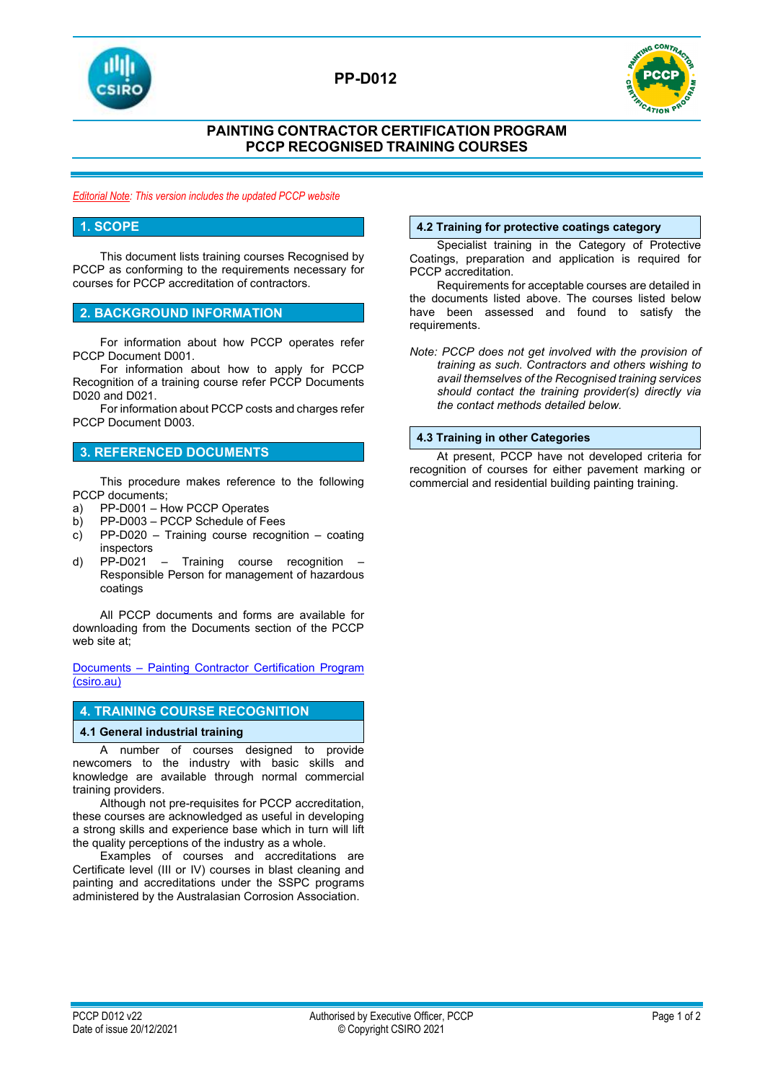

# **PP-D012**



### **PAINTING CONTRACTOR CERTIFICATION PROGRAM PCCP RECOGNISED TRAINING COURSES**

*Editorial Note: This version includes the updated PCCP website*

### **1. SCOPE**

This document lists training courses Recognised by PCCP as conforming to the requirements necessary for courses for PCCP accreditation of contractors.

### **2. BACKGROUND INFORMATION**

For information about how PCCP operates refer PCCP Document D001.

For information about how to apply for PCCP Recognition of a training course refer PCCP Documents D020 and D021.

For information about PCCP costs and charges refer PCCP Document D003.

### **3. REFERENCED DOCUMENTS**

This procedure makes reference to the following PCCP documents;

- a) PP-D001 How PCCP Operates
- b) PP-D003 PCCP Schedule of Fees
- c) PP-D020 Training course recognition coating inspectors
- d) PP-D021 Training course recognition Responsible Person for management of hazardous coatings

All PCCP documents and forms are available for downloading from the Documents section of the PCCP web site at;

Documents – [Painting Contractor Certification Program](https://vs.csiro.au/pccp/documents/)  [\(csiro.au\)](https://vs.csiro.au/pccp/documents/)

### **4. TRAINING COURSE RECOGNITION**

### **4.1 General industrial training**

A number of courses designed to provide newcomers to the industry with basic skills and knowledge are available through normal commercial training providers.

Although not pre-requisites for PCCP accreditation, these courses are acknowledged as useful in developing a strong skills and experience base which in turn will lift the quality perceptions of the industry as a whole.

Examples of courses and accreditations are Certificate level (III or IV) courses in blast cleaning and painting and accreditations under the SSPC programs administered by the Australasian Corrosion Association.

### **4.2 Training for protective coatings category**

Specialist training in the Category of Protective Coatings, preparation and application is required for PCCP accreditation.

Requirements for acceptable courses are detailed in the documents listed above. The courses listed below have been assessed and found to satisfy the requirements.

*Note: PCCP does not get involved with the provision of training as such. Contractors and others wishing to avail themselves of the Recognised training services should contact the training provider(s) directly via the contact methods detailed below.*

### **4.3 Training in other Categories**

At present, PCCP have not developed criteria for recognition of courses for either pavement marking or commercial and residential building painting training.